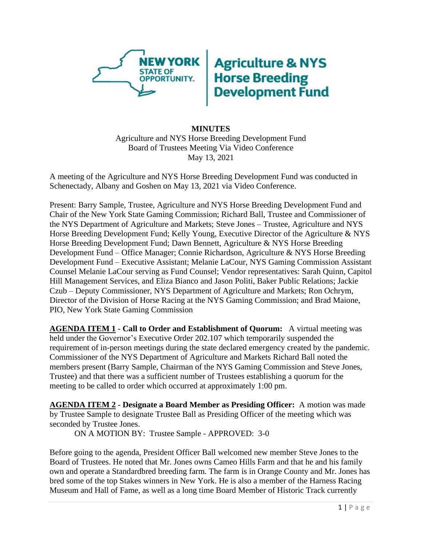

## **Agriculture & NYS<br>Horse Breeding<br>Development Fund**

## **MINUTES** Agriculture and NYS Horse Breeding Development Fund Board of Trustees Meeting Via Video Conference May 13, 2021

A meeting of the Agriculture and NYS Horse Breeding Development Fund was conducted in Schenectady, Albany and Goshen on May 13, 2021 via Video Conference.

Present: Barry Sample, Trustee, Agriculture and NYS Horse Breeding Development Fund and Chair of the New York State Gaming Commission; Richard Ball, Trustee and Commissioner of the NYS Department of Agriculture and Markets; Steve Jones – Trustee, Agriculture and NYS Horse Breeding Development Fund; Kelly Young, Executive Director of the Agriculture & NYS Horse Breeding Development Fund; Dawn Bennett, Agriculture & NYS Horse Breeding Development Fund – Office Manager; Connie Richardson, Agriculture & NYS Horse Breeding Development Fund – Executive Assistant; Melanie LaCour, NYS Gaming Commission Assistant Counsel Melanie LaCour serving as Fund Counsel; Vendor representatives: Sarah Quinn, Capitol Hill Management Services, and Eliza Bianco and Jason Politi, Baker Public Relations; Jackie Czub – Deputy Commissioner, NYS Department of Agriculture and Markets; Ron Ochrym, Director of the Division of Horse Racing at the NYS Gaming Commission; and Brad Maione, PIO, New York State Gaming Commission

**AGENDA ITEM 1 - Call to Order and Establishment of Quorum:** A virtual meeting was held under the Governor's Executive Order 202.107 which temporarily suspended the requirement of in-person meetings during the state declared emergency created by the pandemic. Commissioner of the NYS Department of Agriculture and Markets Richard Ball noted the members present (Barry Sample, Chairman of the NYS Gaming Commission and Steve Jones, Trustee) and that there was a sufficient number of Trustees establishing a quorum for the meeting to be called to order which occurred at approximately 1:00 pm.

**AGENDA ITEM 2 - Designate a Board Member as Presiding Officer:** A motion was made by Trustee Sample to designate Trustee Ball as Presiding Officer of the meeting which was seconded by Trustee Jones.

ON A MOTION BY: Trustee Sample - APPROVED: 3-0

Before going to the agenda, President Officer Ball welcomed new member Steve Jones to the Board of Trustees. He noted that Mr. Jones owns Cameo Hills Farm and that he and his family own and operate a Standardbred breeding farm. The farm is in Orange County and Mr. Jones has bred some of the top Stakes winners in New York. He is also a member of the Harness Racing Museum and Hall of Fame, as well as a long time Board Member of Historic Track currently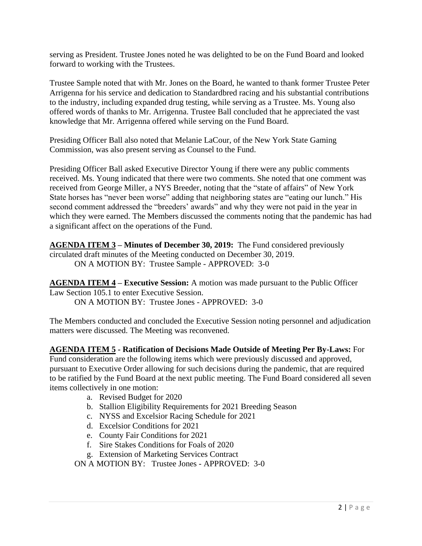serving as President. Trustee Jones noted he was delighted to be on the Fund Board and looked forward to working with the Trustees.

Trustee Sample noted that with Mr. Jones on the Board, he wanted to thank former Trustee Peter Arrigenna for his service and dedication to Standardbred racing and his substantial contributions to the industry, including expanded drug testing, while serving as a Trustee. Ms. Young also offered words of thanks to Mr. Arrigenna. Trustee Ball concluded that he appreciated the vast knowledge that Mr. Arrigenna offered while serving on the Fund Board.

Presiding Officer Ball also noted that Melanie LaCour, of the New York State Gaming Commission, was also present serving as Counsel to the Fund.

Presiding Officer Ball asked Executive Director Young if there were any public comments received. Ms. Young indicated that there were two comments. She noted that one comment was received from George Miller, a NYS Breeder, noting that the "state of affairs" of New York State horses has "never been worse" adding that neighboring states are "eating our lunch." His second comment addressed the "breeders' awards" and why they were not paid in the year in which they were earned. The Members discussed the comments noting that the pandemic has had a significant affect on the operations of the Fund.

**AGENDA ITEM 3 – Minutes of December 30, 2019:** The Fund considered previously circulated draft minutes of the Meeting conducted on December 30, 2019. ON A MOTION BY: Trustee Sample - APPROVED: 3-0

**AGENDA ITEM 4 – Executive Session:** A motion was made pursuant to the Public Officer Law Section 105.1 to enter Executive Session. ON A MOTION BY: Trustee Jones - APPROVED: 3-0

The Members conducted and concluded the Executive Session noting personnel and adjudication matters were discussed. The Meeting was reconvened.

**AGENDA ITEM 5 - Ratification of Decisions Made Outside of Meeting Per By-Laws:** For Fund consideration are the following items which were previously discussed and approved, pursuant to Executive Order allowing for such decisions during the pandemic, that are required to be ratified by the Fund Board at the next public meeting. The Fund Board considered all seven items collectively in one motion:

- a. Revised Budget for 2020
- b. Stallion Eligibility Requirements for 2021 Breeding Season
- c. NYSS and Excelsior Racing Schedule for 2021
- d. Excelsior Conditions for 2021
- e. County Fair Conditions for 2021
- f. Sire Stakes Conditions for Foals of 2020
- g. Extension of Marketing Services Contract

ON A MOTION BY: Trustee Jones - APPROVED: 3-0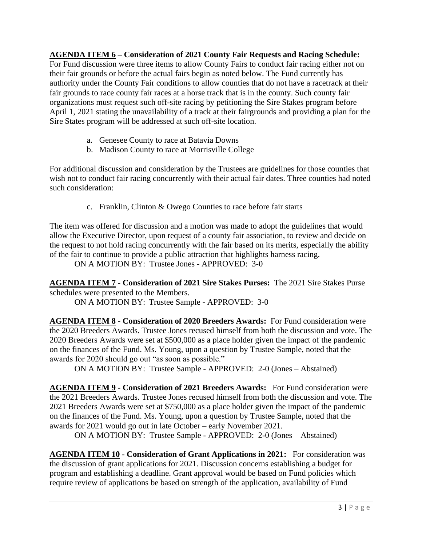**AGENDA ITEM 6 – Consideration of 2021 County Fair Requests and Racing Schedule:** For Fund discussion were three items to allow County Fairs to conduct fair racing either not on their fair grounds or before the actual fairs begin as noted below. The Fund currently has authority under the County Fair conditions to allow counties that do not have a racetrack at their fair grounds to race county fair races at a horse track that is in the county. Such county fair organizations must request such off-site racing by petitioning the Sire Stakes program before April 1, 2021 stating the unavailability of a track at their fairgrounds and providing a plan for the Sire States program will be addressed at such off-site location.

- a. Genesee County to race at Batavia Downs
- b. Madison County to race at Morrisville College

For additional discussion and consideration by the Trustees are guidelines for those counties that wish not to conduct fair racing concurrently with their actual fair dates. Three counties had noted such consideration:

c. Franklin, Clinton & Owego Counties to race before fair starts

The item was offered for discussion and a motion was made to adopt the guidelines that would allow the Executive Director, upon request of a county fair association, to review and decide on the request to not hold racing concurrently with the fair based on its merits, especially the ability of the fair to continue to provide a public attraction that highlights harness racing.

ON A MOTION BY: Trustee Jones - APPROVED: 3-0

**AGENDA ITEM 7 - Consideration of 2021 Sire Stakes Purses:** The 2021 Sire Stakes Purse schedules were presented to the Members.

ON A MOTION BY: Trustee Sample - APPROVED: 3-0

**AGENDA ITEM 8 - Consideration of 2020 Breeders Awards:** For Fund consideration were the 2020 Breeders Awards. Trustee Jones recused himself from both the discussion and vote. The 2020 Breeders Awards were set at \$500,000 as a place holder given the impact of the pandemic on the finances of the Fund. Ms. Young, upon a question by Trustee Sample, noted that the awards for 2020 should go out "as soon as possible."

ON A MOTION BY: Trustee Sample - APPROVED: 2-0 (Jones – Abstained)

**AGENDA ITEM 9 - Consideration of 2021 Breeders Awards:** For Fund consideration were the 2021 Breeders Awards. Trustee Jones recused himself from both the discussion and vote. The 2021 Breeders Awards were set at \$750,000 as a place holder given the impact of the pandemic on the finances of the Fund. Ms. Young, upon a question by Trustee Sample, noted that the awards for 2021 would go out in late October – early November 2021.

ON A MOTION BY: Trustee Sample - APPROVED: 2-0 (Jones – Abstained)

**AGENDA ITEM 10 - Consideration of Grant Applications in 2021:** For consideration was the discussion of grant applications for 2021. Discussion concerns establishing a budget for program and establishing a deadline. Grant approval would be based on Fund policies which require review of applications be based on strength of the application, availability of Fund